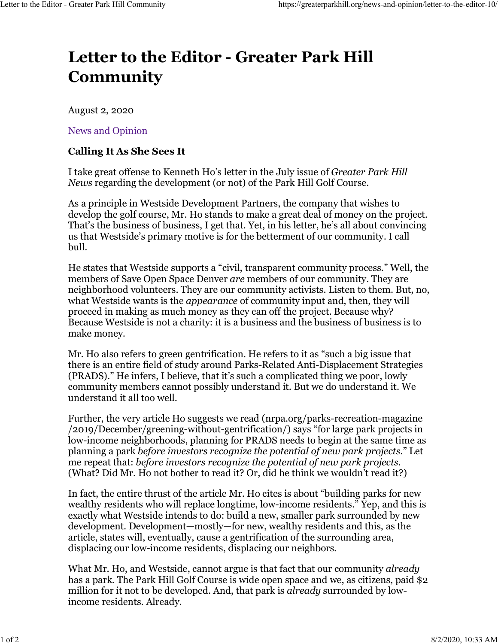## **Letter to the Editor - Greater Park Hill Community**

August 2, 2020

News and Opinion

## **Calling It As She Sees It**

I take great offense to Kenneth Ho's letter in the July issue of *Greater Park Hill News* regarding the development (or not) of the Park Hill Golf Course.

As a principle in Westside Development Partners, the company that wishes to develop the golf course, Mr. Ho stands to make a great deal of money on the project. That's the business of business, I get that. Yet, in his letter, he's all about convincing us that Westside's primary motive is for the betterment of our community. I call bull.

He states that Westside supports a "civil, transparent community process." Well, the members of Save Open Space Denver *are* members of our community. They are neighborhood volunteers. They are our community activists. Listen to them. But, no, what Westside wants is the *appearance* of community input and, then, they will proceed in making as much money as they can off the project. Because why? Because Westside is not a charity: it is a business and the business of business is to make money.

Mr. Ho also refers to green gentrification. He refers to it as "such a big issue that there is an entire field of study around Parks-Related Anti-Displacement Strategies (PRADS)." He infers, I believe, that it's such a complicated thing we poor, lowly community members cannot possibly understand it. But we do understand it. We understand it all too well.

Further, the very article Ho suggests we read (nrpa.org/parks-recreation-magazine /2019/December/greening-without-gentrification/) says "for large park projects in low-income neighborhoods, planning for PRADS needs to begin at the same time as planning a park *before investors recognize the potential of new park projects*." Let me repeat that: *before investors recognize the potential of new park projects*. (What? Did Mr. Ho not bother to read it? Or, did he think we wouldn't read it?)

In fact, the entire thrust of the article Mr. Ho cites is about "building parks for new wealthy residents who will replace longtime, low-income residents." Yep, and this is exactly what Westside intends to do: build a new, smaller park surrounded by new development. Development—mostly—for new, wealthy residents and this, as the article, states will, eventually, cause a gentrification of the surrounding area, displacing our low-income residents, displacing our neighbors.

What Mr. Ho, and Westside, cannot argue is that fact that our community *already* has a park. The Park Hill Golf Course is wide open space and we, as citizens, paid \$2 million for it not to be developed. And, that park is *already* surrounded by lowincome residents. Already.